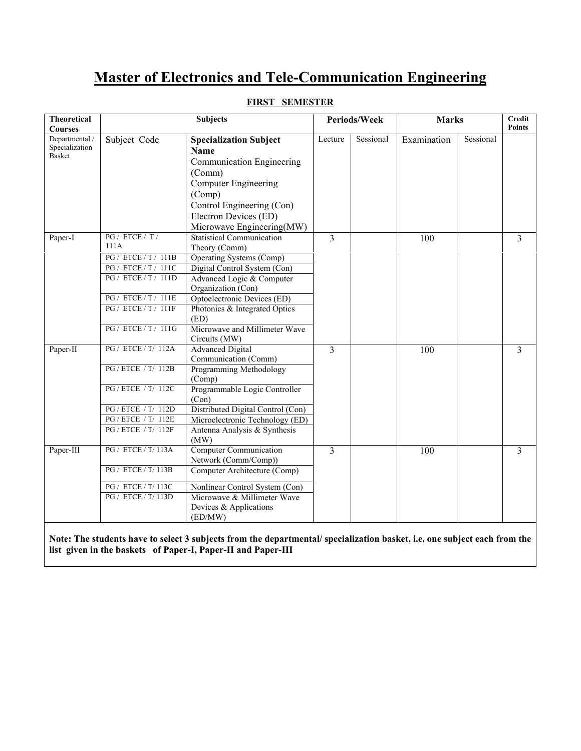# **Master of Electronics and Tele-Communication Engineering**

| <b>Theoretical</b>              | <b>Subjects</b>             |                                                                                                                          | Periods/Week   |           | <b>Marks</b> |           | Credit         |
|---------------------------------|-----------------------------|--------------------------------------------------------------------------------------------------------------------------|----------------|-----------|--------------|-----------|----------------|
| <b>Courses</b>                  |                             |                                                                                                                          |                |           |              |           | <b>Points</b>  |
| Departmental /                  | Subject Code                | <b>Specialization Subject</b>                                                                                            | Lecture        | Sessional | Examination  | Sessional |                |
| Specialization<br><b>Basket</b> |                             | <b>Name</b>                                                                                                              |                |           |              |           |                |
|                                 |                             | Communication Engineering                                                                                                |                |           |              |           |                |
|                                 |                             | (Comm)                                                                                                                   |                |           |              |           |                |
|                                 |                             | <b>Computer Engineering</b>                                                                                              |                |           |              |           |                |
|                                 |                             | (Comp)                                                                                                                   |                |           |              |           |                |
|                                 |                             | Control Engineering (Con)                                                                                                |                |           |              |           |                |
|                                 |                             | Electron Devices (ED)                                                                                                    |                |           |              |           |                |
|                                 |                             | Microwave Engineering(MW)                                                                                                |                |           |              |           |                |
| Paper-I                         | PG / ETCE / T /             | <b>Statistical Communication</b>                                                                                         | 3              |           | 100          |           | $\overline{3}$ |
|                                 | 111A                        | Theory (Comm)                                                                                                            |                |           |              |           |                |
|                                 | <b>PG</b> / ETCE / T / 111B | Operating Systems (Comp)                                                                                                 |                |           |              |           |                |
|                                 | PG / ETCE / T / 111C        | Digital Control System (Con)                                                                                             |                |           |              |           |                |
|                                 | PG / ETCE / T / 111D        | Advanced Logic & Computer                                                                                                |                |           |              |           |                |
|                                 |                             | Organization (Con)                                                                                                       |                |           |              |           |                |
|                                 | PG / ETCE / T / 111E        | Optoelectronic Devices (ED)                                                                                              |                |           |              |           |                |
|                                 | PG / ETCE / T / 111F        | Photonics & Integrated Optics                                                                                            |                |           |              |           |                |
|                                 | PG / ETCE / T / 111G        | (ED)                                                                                                                     |                |           |              |           |                |
|                                 |                             | Microwave and Millimeter Wave                                                                                            |                |           |              |           |                |
| Paper-II                        | PG / ETCE / T/ 112A         | Circuits (MW)<br><b>Advanced Digital</b>                                                                                 | $\overline{3}$ |           | 100          |           | 3              |
|                                 |                             | Communication (Comm)                                                                                                     |                |           |              |           |                |
|                                 | PG / ETCE / T/ 112B         | Programming Methodology                                                                                                  |                |           |              |           |                |
|                                 |                             | (Comp)                                                                                                                   |                |           |              |           |                |
|                                 | PG / ETCE / T/ 112C         | Programmable Logic Controller                                                                                            |                |           |              |           |                |
|                                 |                             | (Con)                                                                                                                    |                |           |              |           |                |
|                                 | PG / ETCE / T/ 112D         | Distributed Digital Control (Con)                                                                                        |                |           |              |           |                |
|                                 | PG / ETCE / T/ 112E         | Microelectronic Technology (ED)                                                                                          |                |           |              |           |                |
|                                 | PG / ETCE / T/ 112F         | Antenna Analysis & Synthesis                                                                                             |                |           |              |           |                |
|                                 |                             | (MW)                                                                                                                     |                |           |              |           |                |
| Paper-III                       | PG / ETCE / T/ 113A         | <b>Computer Communication</b>                                                                                            | 3              |           | 100          |           | $\overline{3}$ |
|                                 |                             | Network (Comm/Comp))                                                                                                     |                |           |              |           |                |
|                                 | PG / ETCE / T/ 113B         | Computer Architecture (Comp)                                                                                             |                |           |              |           |                |
|                                 | PG / ETCE / T/ 113C         | Nonlinear Control System (Con)                                                                                           |                |           |              |           |                |
|                                 | PG / ETCE / T/ 113D         | Microwave & Millimeter Wave                                                                                              |                |           |              |           |                |
|                                 |                             | Devices & Applications                                                                                                   |                |           |              |           |                |
|                                 |                             | (ED/MW)                                                                                                                  |                |           |              |           |                |
|                                 |                             |                                                                                                                          |                |           |              |           |                |
|                                 |                             | Note: The students have to select 3 subjects from the departmental/specialization basket, i.e. one subject each from the |                |           |              |           |                |
|                                 |                             | list given in the baskets of Paper-I, Paper-II and Paper-III                                                             |                |           |              |           |                |

# **FIRST SEMESTER**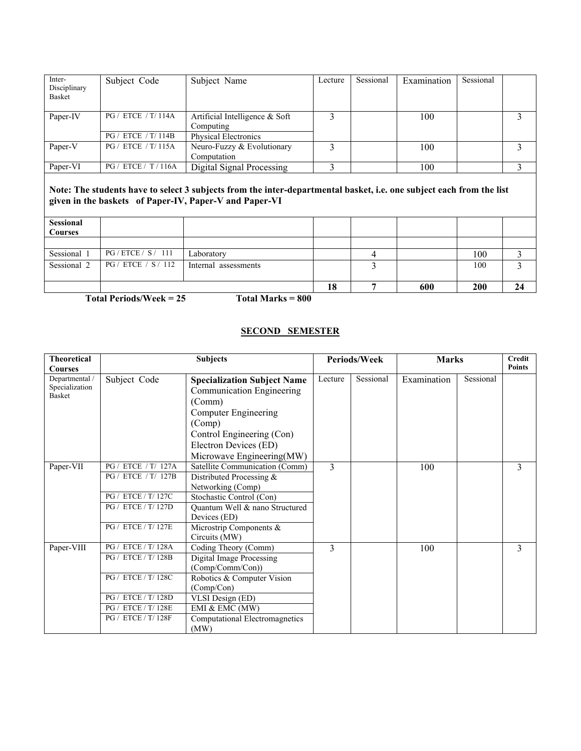| Inter-<br>Disciplinary<br>Basket | Subject Code               | Subject Name                                  | Lecture | Sessional | Examination | Sessional |  |
|----------------------------------|----------------------------|-----------------------------------------------|---------|-----------|-------------|-----------|--|
| Paper-IV                         | PG / ETCE / T/ 114A        | Artificial Intelligence $&$ Soft<br>Computing |         |           | 100         |           |  |
|                                  | <b>PG</b> / ETCE / T/ 114B | <b>Physical Electronics</b>                   |         |           |             |           |  |
| Paper-V                          | PG / ETCE / T/115A         | Neuro-Fuzzy & Evolutionary<br>Computation     |         |           | 100         |           |  |
| Paper-VI                         | PG / ETCE / T / 116A       | Digital Signal Processing                     |         |           | 100         |           |  |
|                                  |                            |                                               |         |           |             |           |  |

**Note: The students have to select 3 subjects from the inter-departmental basket, i.e. one subject each from the list given in the baskets of Paper-IV, Paper-V and Paper-VI** 

| <b>Sessional</b><br><b>Courses</b> |                     |                      |    |     |            |    |
|------------------------------------|---------------------|----------------------|----|-----|------------|----|
|                                    |                     |                      |    |     |            |    |
| Sessional 1                        | PG / EICE / S / 111 | Laboratory           |    |     | 100        |    |
| Sessional 2                        | PG / ETCE / S / 112 | Internal assessments |    |     | 100        |    |
|                                    |                     |                      | 18 | 600 | <b>200</b> | 24 |

**Total Periods/Week = 25 Total Marks = 800** 

#### **SECOND SEMESTER**

| <b>Theoretical</b><br><b>Courses</b>              |                                                                                                                                        | <b>Subjects</b>                                                                                                                                                                                             |         | <b>Periods/Week</b> | <b>Marks</b> |           | <b>Credit</b><br><b>Points</b> |  |
|---------------------------------------------------|----------------------------------------------------------------------------------------------------------------------------------------|-------------------------------------------------------------------------------------------------------------------------------------------------------------------------------------------------------------|---------|---------------------|--------------|-----------|--------------------------------|--|
| Departmental /<br>Specialization<br><b>Basket</b> | Subject Code                                                                                                                           | <b>Specialization Subject Name</b><br>Communication Engineering<br>(Comm)<br>Computer Engineering<br>(Comp)<br>Control Engineering (Con)<br>Electron Devices (ED)<br>Microwave Engineering(MW)              | Lecture | Sessional           | Examination  | Sessional |                                |  |
| Paper-VII                                         | PG / ETCE / T/ 127A<br>PG / ETCE / T/ 127B<br>PG / ETCE / T/ 127C<br>PG / ETCE / T/ 127D<br>PG / ETCE / T/ 127E                        | Satellite Communication (Comm)<br>Distributed Processing $&$<br>Networking (Comp)<br>Stochastic Control (Con)<br>Quantum Well & nano Structured<br>Devices (ED)<br>Microstrip Components &<br>Circuits (MW) | 3       |                     | 100          |           | 3                              |  |
| Paper-VIII                                        | PG / ETCE / T/ 128A<br>PG / ETCE / T/ 128B<br>PG / ETCE / T/ 128C<br>PG / ETCE / T/ 128D<br>PG / ETCE / T/ 128E<br>PG / ETCE / T/ 128F | Coding Theory (Comm)<br>Digital Image Processing<br>(Comp/Comm/Con))<br>Robotics & Computer Vision<br>(Comp/Con)<br>VLSI Design (ED)<br>EMI & EMC (MW)<br>Computational Electromagnetics<br>(MW)            | 3       |                     | 100          |           | 3                              |  |